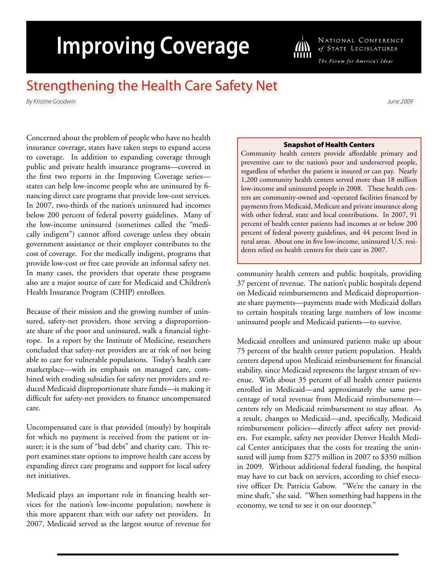# **Improving Coverage**



NATIONAL CONFERENCE of STATE LEGISLATURES

The Forum for America's Ideas

# Strengthening the Health Care Safety Net

*By Kristine Goodwin June 2009*

Concerned about the problem of people who have no health insurance coverage, states have taken steps to expand access to coverage. In addition to expanding coverage through public and private health insurance programs—covered in the first two reports in the Improving Coverage series states can help low-income people who are uninsured by financing direct care programs that provide low-cost services. In 2007, two-thirds of the nation's uninsured had incomes below 200 percent of federal poverty guidelines. Many of the low-income uninsured (sometimes called the "medically indigent") cannot afford coverage unless they obtain government assistance or their employer contributes to the cost of coverage. For the medically indigent, programs that provide low-cost or free care provide an informal safety net. In many cases, the providers that operate these programs also are a major source of care for Medicaid and Children's Health Insurance Program (CHIP) enrollees.

Because of their mission and the growing number of uninsured, safety-net providers, those serving a disproportionate share of the poor and uninsured, walk a financial tightrope. In a report by the Institute of Medicine, researchers concluded that safety-net providers are at risk of not being able to care for vulnerable populations. Today's health care marketplace—with its emphasis on managed care, combined with eroding subsidies for safety net providers and reduced Medicaid disproportionate share funds—is making it difficult for safety-net providers to finance uncompensated care.

Uncompensated care is that provided (mostly) by hospitals for which no payment is received from the patient or insurer; it is the sum of "bad debt" and charity care. This report examines state options to improve health care access by expanding direct care programs and support for local safety net initiatives.

Medicaid plays an important role in financing health services for the nation's low-income population; nowhere is this more apparent than with our safety net providers. In 2007, Medicaid served as the largest source of revenue for

#### Snapshot of Health Centers

Community health centers provide affordable primary and preventive care to the nation's poor and underserved people, regardless of whether the patient is insured or can pay. Nearly 1,200 community health centers served more than 18 million low-income and uninsured people in 2008. These health centers are community-owned and -operated facilities financed by payments from Medicaid, Medicare and private insurance along with other federal, state and local contributions. In 2007, 91 percent of health center patients had incomes at or below 200 percent of federal poverty guidelines, and 44 percent lived in rural areas. About one in five low-income, uninsured U.S. residents relied on health centers for their care in 2007.

community health centers and public hospitals, providing 37 percent of revenue. The nation's public hospitals depend on Medicaid reimbursements and Medicaid disproportionate share payments—payments made with Medicaid dollars to certain hospitals treating large numbers of low income uninsured people and Medicaid patients—to survive.

Medicaid enrollees and uninsured patients make up about 75 percent of the health center patient population. Health centers depend upon Medicaid reimbursement for financial stability, since Medicaid represents the largest stream of revenue. With about 35 percent of all health center patients enrolled in Medicaid—and approximately the same percentage of total revenue from Medicaid reimbursement centers rely on Medicaid reimbursement to stay afloat. As a result, changes to Medicaid—and, specifically, Medicaid reimbursement policies—directly affect safety net providers. For example, safety net provider Denver Health Medical Center anticipates that the costs for treating the uninsured will jump from \$275 million in 2007 to \$350 million in 2009. Without additional federal funding, the hospital may have to cut back on services, according to chief executive officer Dr. Patricia Gabow. "We're the canary in the mine shaft," she said. "When something bad happens in the economy, we tend to see it on our doorstep."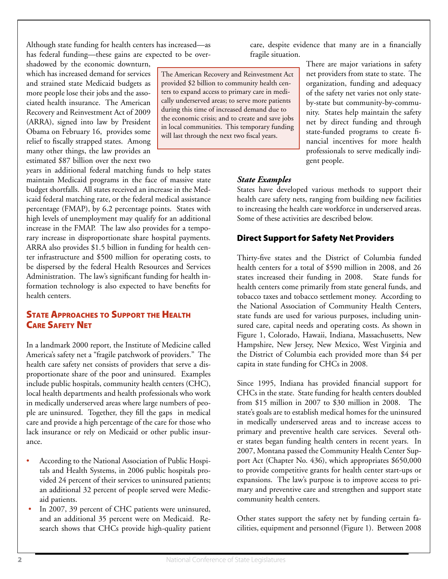Although state funding for health centers has increased—as has federal funding—these gains are expected to be over-

shadowed by the economic downturn, which has increased demand for services and strained state Medicaid budgets as more people lose their jobs and the associated health insurance. The American Recovery and Reinvestment Act of 2009 (ARRA), signed into law by President Obama on February 16, provides some relief to fiscally strapped states. Among many other things, the law provides an estimated \$87 billion over the next two

years in additional federal matching funds to help states maintain Medicaid programs in the face of massive state budget shortfalls. All states received an increase in the Medicaid federal matching rate, or the federal medical assistance percentage (FMAP), by 6.2 percentage points. States with high levels of unemployment may qualify for an additional increase in the FMAP. The law also provides for a temporary increase in disproportionate share hospital payments. ARRA also provides \$1.5 billion in funding for health center infrastructure and \$500 million for operating costs, to be dispersed by the federal Health Resources and Services Administration. The law's significant funding for health information technology is also expected to have benefits for health centers.

# **STATE APPROACHES TO SUPPORT THE HEALTH** Care Safety Net

In a landmark 2000 report, the Institute of Medicine called America's safety net a "fragile patchwork of providers." The health care safety net consists of providers that serve a disproportionate share of the poor and uninsured. Examples include public hospitals, community health centers (CHC), local health departments and health professionals who work in medically underserved areas where large numbers of people are uninsured. Together, they fill the gaps in medical care and provide a high percentage of the care for those who lack insurance or rely on Medicaid or other public insurance.

- According to the National Association of Public Hospitals and Health Systems, in 2006 public hospitals provided 24 percent of their services to uninsured patients; an additional 32 percent of people served were Medicaid patients.
- In 2007, 39 percent of CHC patients were uninsured, and an additional 35 percent were on Medicaid. Research shows that CHCs provide high-quality patient

care, despite evidence that many are in a financially fragile situation.

The American Recovery and Reinvestment Act provided \$2 billion to community health centers to expand access to primary care in medically underserved areas; to serve more patients during this time of increased demand due to the economic crisis; and to create and save jobs in local communities. This temporary funding will last through the next two fiscal years.

There are major variations in safety net providers from state to state. The organization, funding and adequacy of the safety net varies not only stateby-state but community-by-community. States help maintain the safety net by direct funding and through state-funded programs to create financial incentives for more health professionals to serve medically indigent people.

#### *State Examples*

States have developed various methods to support their health care safety nets, ranging from building new facilities to increasing the health care workforce in underserved areas. Some of these activities are described below.

#### Direct Support for Safety Net Providers

Thirty-five states and the District of Columbia funded health centers for a total of \$590 million in 2008, and 26 states increased their funding in 2008. State funds for health centers come primarily from state general funds, and tobacco taxes and tobacco settlement money. According to the National Association of Community Health Centers, state funds are used for various purposes, including uninsured care, capital needs and operating costs. As shown in Figure 1, Colorado, Hawaii, Indiana, Massachusetts, New Hampshire, New Jersey, New Mexico, West Virginia and the District of Columbia each provided more than \$4 per capita in state funding for CHCs in 2008.

Since 1995, Indiana has provided financial support for CHCs in the state. State funding for health centers doubled from \$15 million in 2007 to \$30 million in 2008. The state's goals are to establish medical homes for the uninsured in medically underserved areas and to increase access to primary and preventive health care services. Several other states began funding health centers in recent years. In 2007, Montana passed the Community Health Center Support Act (Chapter No. 436), which appropriates \$650,000 to provide competitive grants for health center start-ups or expansions. The law's purpose is to improve access to primary and preventive care and strengthen and support state community health centers.

Other states support the safety net by funding certain facilities, equipment and personnel (Figure 1). Between 2008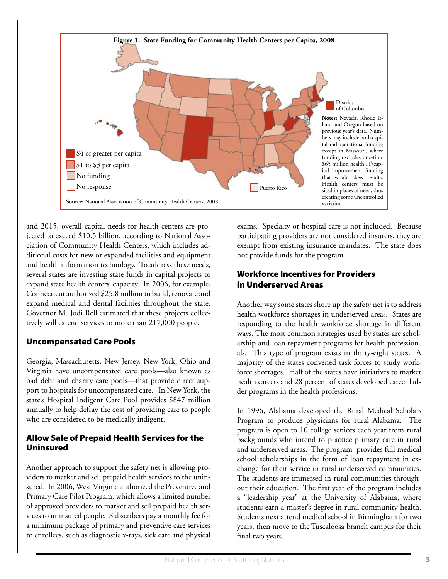

and 2015, overall capital needs for health centers are projected to exceed \$10.5 billion, according to National Association of Community Health Centers, which includes additional costs for new or expanded facilities and equipment and health information technology. To address these needs, several states are investing state funds in capital projects to expand state health centers' capacity. In 2006, for example, Connecticut authorized \$25.8 million to build, renovate and expand medical and dental facilities throughout the state. Governor M. Jodi Rell estimated that these projects collectively will extend services to more than 217,000 people.

# Uncompensated Care Pools

Georgia, Massachusetts, New Jersey, New York, Ohio and Virginia have uncompensated care pools—also known as bad debt and charity care pools—that provide direct support to hospitals for uncompensated care. In New York, the state's Hospital Indigent Care Pool provides \$847 million annually to help defray the cost of providing care to people who are considered to be medically indigent.

# Allow Sale of Prepaid Health Services for the Uninsured

Another approach to support the safety net is allowing providers to market and sell prepaid health services to the uninsured. In 2006, West Virginia authorized the Preventive and Primary Care Pilot Program, which allows a limited number of approved providers to market and sell prepaid health services to uninsured people. Subscribers pay a monthly fee for a minimum package of primary and preventive care services to enrollees, such as diagnostic x-rays, sick care and physical exams. Specialty or hospital care is not included. Because participating providers are not considered insurers, they are exempt from existing insurance mandates. The state does not provide funds for the program.

# Workforce Incentives for Providers in Underserved Areas

Another way some states shore up the safety net is to address health workforce shortages in underserved areas. States are responding to the health workforce shortage in different ways. The most common strategies used by states are scholarship and loan repayment programs for health professionals. This type of program exists in thirty-eight states. A majority of the states convened task forces to study workforce shortages. Half of the states have initiatives to market health careers and 28 percent of states developed career ladder programs in the health professions.

In 1996, Alabama developed the Rural Medical Scholars Program to produce physicians for rural Alabama. The program is open to 10 college seniors each year from rural backgrounds who intend to practice primary care in rural and underserved areas. The program provides full medical school scholarships in the form of loan repayment in exchange for their service in rural underserved communities. The students are immersed in rural communities throughout their education. The first year of the program includes a "leadership year" at the University of Alabama, where students earn a master's degree in rural community health. Students next attend medical school in Birmingham for two years, then move to the Tuscaloosa branch campus for their final two years.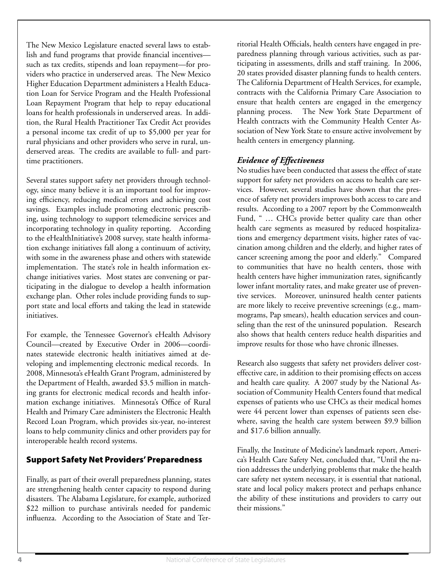The New Mexico Legislature enacted several laws to establish and fund programs that provide financial incentives such as tax credits, stipends and loan repayment—for providers who practice in underserved areas. The New Mexico Higher Education Department administers a Health Education Loan for Service Program and the Health Professional Loan Repayment Program that help to repay educational loans for health professionals in underserved areas. In addition, the Rural Health Practitioner Tax Credit Act provides a personal income tax credit of up to \$5,000 per year for rural physicians and other providers who serve in rural, underserved areas. The credits are available to full- and parttime practitioners.

Several states support safety net providers through technology, since many believe it is an important tool for improving efficiency, reducing medical errors and achieving cost savings. Examples include promoting electronic prescribing, using technology to support telemedicine services and incorporating technology in quality reporting. According to the eHealthInitiative's 2008 survey, state health information exchange initiatives fall along a continuum of activity, with some in the awareness phase and others with statewide implementation. The state's role in health information exchange initiatives varies. Most states are convening or participating in the dialogue to develop a health information exchange plan. Other roles include providing funds to support state and local efforts and taking the lead in statewide initiatives.

For example, the Tennessee Governor's eHealth Advisory Council—created by Executive Order in 2006—coordinates statewide electronic health initiatives aimed at developing and implementing electronic medical records. In 2008, Minnesota's eHealth Grant Program, administered by the Department of Health, awarded \$3.5 million in matching grants for electronic medical records and health information exchange initiatives. Minnesota's Office of Rural Health and Primary Care administers the Electronic Health Record Loan Program, which provides six-year, no-interest loans to help community clinics and other providers pay for interoperable health record systems.

# Support Safety Net Providers' Preparedness

Finally, as part of their overall preparedness planning, states are strengthening health center capacity to respond during disasters. The Alabama Legislature, for example, authorized \$22 million to purchase antivirals needed for pandemic influenza. According to the Association of State and Territorial Health Officials, health centers have engaged in preparedness planning through various activities, such as participating in assessments, drills and staff training. In 2006, 20 states provided disaster planning funds to health centers. The California Department of Health Services, for example, contracts with the California Primary Care Association to ensure that health centers are engaged in the emergency planning process. The New York State Department of Health contracts with the Community Health Center Association of New York State to ensure active involvement by health centers in emergency planning.

#### *Evidence of Effectiveness*

No studies have been conducted that assess the effect of state support for safety net providers on access to health care services. However, several studies have shown that the presence of safety net providers improves both access to care and results. According to a 2007 report by the Commonwealth Fund, " … CHCs provide better quality care than other health care segments as measured by reduced hospitalizations and emergency department visits, higher rates of vaccination among children and the elderly, and higher rates of cancer screening among the poor and elderly." Compared to communities that have no health centers, those with health centers have higher immunization rates, significantly lower infant mortality rates, and make greater use of preventive services. Moreover, uninsured health center patients are more likely to receive preventive screenings (e.g., mammograms, Pap smears), health education services and counseling than the rest of the uninsured population. Research also shows that health centers reduce health disparities and improve results for those who have chronic illnesses.

Research also suggests that safety net providers deliver costeffective care, in addition to their promising effects on access and health care quality. A 2007 study by the National Association of Community Health Centers found that medical expenses of patients who use CHCs as their medical homes were 44 percent lower than expenses of patients seen elsewhere, saving the health care system between \$9.9 billion and \$17.6 billion annually.

Finally, the Institute of Medicine's landmark report, America's Health Care Safety Net, concluded that, "Until the nation addresses the underlying problems that make the health care safety net system necessary, it is essential that national, state and local policy makers protect and perhaps enhance the ability of these institutions and providers to carry out their missions."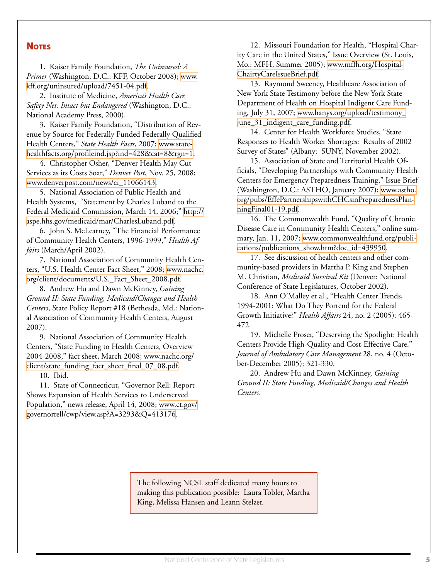#### **NOTES**

1. Kaiser Family Foundation, *The Uninsured: A Primer* (Washington, D.C.: KFF, October 2008); [www.](http://www.kff.org/uninsured/upload/7451-04.pdf) [kff.org/uninsured/upload/7451-04.pdf](http://www.kff.org/uninsured/upload/7451-04.pdf).

 2. Institute of Medicine, *America's Health Care Safety Net: Intact but Endangered* (Washington, D.C.: National Academy Press, 2000).

 3. Kaiser Family Foundation, "Distribution of Revenue by Source for Federally Funded Federally Qualified Health Centers," *State Health Facts*, 2007; [www.state](http://www.statehealthfacts.org/profileind.jsp?ind=428&cat=8&rgn=1)[healthfacts.org/profileind.jsp?ind=428&cat=8&rgn=1.](http://www.statehealthfacts.org/profileind.jsp?ind=428&cat=8&rgn=1)

4. Christopher Osher, "Denver Health May Cut Services as its Costs Soar," *Denver Post*, Nov. 25, 2008; [www.denverpost.com/news/ci\\_11066143](http://www.denverpost.com/news/ci_11066143).

5. National Association of Public Health and Health Systems, "Statement by Charles Luband to the Federal Medicaid Commission, March 14, 2006;" [http://](http://aspe.hhs.gov/medicaid/mar/CharlesLuband.pdf) [aspe.hhs.gov/medicaid/mar/CharlesLuband.pdf](http://aspe.hhs.gov/medicaid/mar/CharlesLuband.pdf).

6. John S. McLearney, "The Financial Performance of Community Health Centers, 1996-1999," *Health Affairs* (March/April 2002).

7. National Association of Community Health Centers, "U.S. Health Center Fact Sheet," 2008; [www.nachc.](http://www.nachc.org/client/documents/U.S._Fact_Sheet_2008.pdf) [org/client/documents/U.S.\\_Fact\\_Sheet\\_2008.pdf.](http://www.nachc.org/client/documents/U.S._Fact_Sheet_2008.pdf)

8. Andrew Hu and Dawn McKinney, *Gaining Ground II: State Funding, Medicaid/Changes and Health Centers*, State Policy Report #18 (Bethesda, Md.: National Association of Community Health Centers, August 2007).

9. National Association of Community Health Centers, "State Funding to Health Centers, Overview 2004-2008," fact sheet, March 2008; [www.nachc.org/](http://www.nachc.org/client/state_funding_fact_sheet_final_07_08.pdf) [client/state\\_funding\\_fact\\_sheet\\_final\\_07\\_08.pdf](http://www.nachc.org/client/state_funding_fact_sheet_final_07_08.pdf).

10. Ibid.

11. State of Connecticut, "Governor Rell: Report Shows Expansion of Health Services to Underserved Population," news release, April 14, 2008; [www.ct.gov/](http://www.ct.gov/governorrell/cwp/view.asp?A=3293&Q=413176) [governorrell/cwp/view.asp?A=3293&Q=413176](http://www.ct.gov/governorrell/cwp/view.asp?A=3293&Q=413176).

12. Missouri Foundation for Health, "Hospital Charity Care in the United States," Issue Overview (St. Louis, Mo.: MFH, Summer 2005); [www.mffh.org/Hospital-](http://www.mffh.org/HospitalChairtyCareIssueBrief.pdf)[ChairtyCareIssueBrief.pdf](http://www.mffh.org/HospitalChairtyCareIssueBrief.pdf).

13. Raymond Sweeney, Healthcare Association of New York State Testimony before the New York State Department of Health on Hospital Indigent Care Funding, July 31, 2007; [www.hanys.org/upload/testimony\\_](http://www.hanys.org/upload/testimony_june_31_indigent_care_funding.pdf) [june\\_31\\_indigent\\_care\\_funding.pdf](http://www.hanys.org/upload/testimony_june_31_indigent_care_funding.pdf).

14. Center for Health Workforce Studies, "State Responses to Health Worker Shortages: Results of 2002 Survey of States" (Albany: SUNY, November 2002).

15. Association of State and Territorial Health Officials, "Developing Partnerships with Community Health Centers for Emergency Preparedness Training," Issue Brief (Washington, D.C.: ASTHO, January 2007); [www.astho.](http://www.astho.org/pubs/EffePartnershipswithCHCsinPreparednessPlanningFinal01-19.pdf) [org/pubs/EffePartnershipswithCHCsinPreparednessPlan](http://www.astho.org/pubs/EffePartnershipswithCHCsinPreparednessPlanningFinal01-19.pdf)[ningFinal01-19.pdf](http://www.astho.org/pubs/EffePartnershipswithCHCsinPreparednessPlanningFinal01-19.pdf).

16. The Commonwealth Fund, "Quality of Chronic Disease Care in Community Health Centers," online summary, Jan. 11, 2007; [www.commonwealthfund.org/publi](http://www.commonwealthfund.org/publications/publications_show.htm?doc_id=439950)[cations/publications\\_show.htm?doc\\_id=439950](http://www.commonwealthfund.org/publications/publications_show.htm?doc_id=439950).

17. See discussion of health centers and other community-based providers in Martha P. King and Stephen M. Christian, *Medicaid Survival Kit* (Denver: National Conference of State Legislatures, October 2002).

18. Ann O'Malley et al., "Health Center Trends, 1994-2001: What Do They Portend for the Federal Growth Initiative?" *Health Affairs* 24, no. 2 (2005): 465- 472.

19. Michelle Proser, "Deserving the Spotlight: Health Centers Provide High-Quality and Cost-Effective Care." *Journal of Ambulatory Care Management* 28, no. 4 (October-December 2005): 321-330.

20. Andrew Hu and Dawn McKinney, *Gaining Ground II: State Funding, Medicaid/Changes and Health Centers*.

The following NCSL staff dedicated many hours to making this publication possible: Laura Tobler, Martha King, Melissa Hansen and Leann Stelzer.